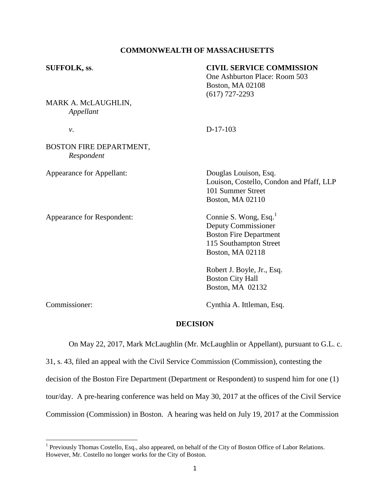## **COMMONWEALTH OF MASSACHUSETTS**

| <b>SUFFOLK, ss.</b>                          | <b>CIVIL SERVICE COMMISSION</b><br>One Ashburton Place: Room 503<br>Boston, MA 02108<br>$(617)$ 727-2293                                |
|----------------------------------------------|-----------------------------------------------------------------------------------------------------------------------------------------|
| MARK A. McLAUGHLIN,<br>Appellant             |                                                                                                                                         |
| ν.                                           | $D-17-103$                                                                                                                              |
| <b>BOSTON FIRE DEPARTMENT,</b><br>Respondent |                                                                                                                                         |
| <b>Appearance for Appellant:</b>             | Douglas Louison, Esq.<br>Louison, Costello, Condon and Pfaff, LLP<br>101 Summer Street<br><b>Boston, MA 02110</b>                       |
| Appearance for Respondent:                   | Connie S. Wong, Esq. <sup>1</sup><br>Deputy Commissioner<br><b>Boston Fire Department</b><br>115 Southampton Street<br>Boston, MA 02118 |
|                                              | Robert J. Boyle, Jr., Esq.<br><b>Boston City Hall</b><br>Boston, MA 02132                                                               |

Commissioner: Cynthia A. Ittleman, Esq.

## **DECISION**

On May 22, 2017, Mark McLaughlin (Mr. McLaughlin or Appellant), pursuant to G.L. c.

31, s. 43, filed an appeal with the Civil Service Commission (Commission), contesting the decision of the Boston Fire Department (Department or Respondent) to suspend him for one (1) tour/day. A pre-hearing conference was held on May 30, 2017 at the offices of the Civil Service Commission (Commission) in Boston. A hearing was held on July 19, 2017 at the Commission

<sup>&</sup>lt;sup>1</sup> Previously Thomas Costello, Esq., also appeared, on behalf of the City of Boston Office of Labor Relations. However, Mr. Costello no longer works for the City of Boston.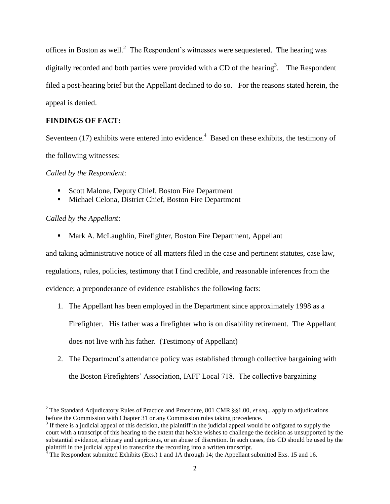offices in Boston as well.<sup>2</sup> The Respondent's witnesses were sequestered. The hearing was digitally recorded and both parties were provided with a CD of the hearing<sup>3</sup>. The Respondent filed a post-hearing brief but the Appellant declined to do so. For the reasons stated herein, the appeal is denied.

## **FINDINGS OF FACT:**

Seventeen (17) exhibits were entered into evidence.<sup>4</sup> Based on these exhibits, the testimony of the following witnesses:

*Called by the Respondent*:

- Scott Malone, Deputy Chief, Boston Fire Department
- **Michael Celona, District Chief, Boston Fire Department**

*Called by the Appellant*:

 $\overline{\phantom{a}}$ 

**Mark A. McLaughlin, Firefighter, Boston Fire Department, Appellant** 

and taking administrative notice of all matters filed in the case and pertinent statutes, case law,

regulations, rules, policies, testimony that I find credible, and reasonable inferences from the

evidence; a preponderance of evidence establishes the following facts:

1. The Appellant has been employed in the Department since approximately 1998 as a Firefighter. His father was a firefighter who is on disability retirement. The Appellant

does not live with his father. (Testimony of Appellant)

2. The Department's attendance policy was established through collective bargaining with the Boston Firefighters' Association, IAFF Local 718. The collective bargaining

<sup>2</sup> The Standard Adjudicatory Rules of Practice and Procedure, 801 CMR §§1.00, *et seq*., apply to adjudications before the Commission with Chapter 31 or any Commission rules taking precedence.

 $3$  If there is a judicial appeal of this decision, the plaintiff in the judicial appeal would be obligated to supply the court with a transcript of this hearing to the extent that he/she wishes to challenge the decision as unsupported by the substantial evidence, arbitrary and capricious, or an abuse of discretion. In such cases, this CD should be used by the plaintiff in the judicial appeal to transcribe the recording into a written transcript.

 $^{4}$  The Respondent submitted Exhibits (Exs.) 1 and 1A through 14; the Appellant submitted Exs. 15 and 16.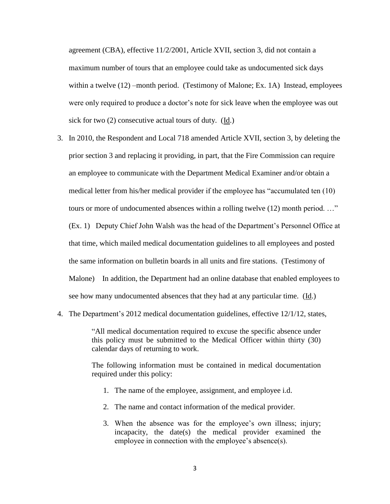agreement (CBA), effective 11/2/2001, Article XVII, section 3, did not contain a maximum number of tours that an employee could take as undocumented sick days within a twelve  $(12)$  –month period. (Testimony of Malone; Ex. 1A) Instead, employees were only required to produce a doctor's note for sick leave when the employee was out sick for two (2) consecutive actual tours of duty. (Id.)

- 3. In 2010, the Respondent and Local 718 amended Article XVII, section 3, by deleting the prior section 3 and replacing it providing, in part, that the Fire Commission can require an employee to communicate with the Department Medical Examiner and/or obtain a medical letter from his/her medical provider if the employee has "accumulated ten (10) tours or more of undocumented absences within a rolling twelve (12) month period. …" (Ex. 1) Deputy Chief John Walsh was the head of the Department's Personnel Office at that time, which mailed medical documentation guidelines to all employees and posted the same information on bulletin boards in all units and fire stations. (Testimony of Malone) In addition, the Department had an online database that enabled employees to see how many undocumented absences that they had at any particular time. (Id.)
- 4. The Department's 2012 medical documentation guidelines, effective 12/1/12, states,

"All medical documentation required to excuse the specific absence under this policy must be submitted to the Medical Officer within thirty (30) calendar days of returning to work.

The following information must be contained in medical documentation required under this policy:

- 1. The name of the employee, assignment, and employee i.d.
- 2. The name and contact information of the medical provider.
- 3. When the absence was for the employee's own illness; injury; incapacity, the date(s) the medical provider examined the employee in connection with the employee's absence(s).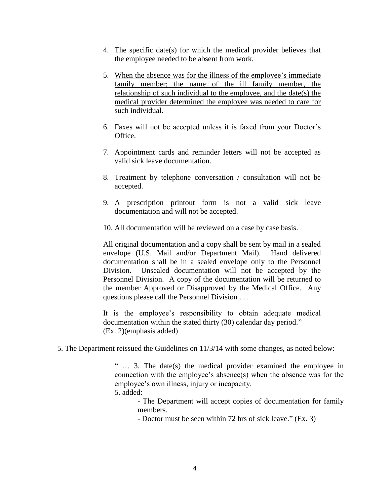- 4. The specific date(s) for which the medical provider believes that the employee needed to be absent from work.
- 5. When the absence was for the illness of the employee's immediate family member; the name of the ill family member, the relationship of such individual to the employee, and the date(s) the medical provider determined the employee was needed to care for such individual.
- 6. Faxes will not be accepted unless it is faxed from your Doctor's Office.
- 7. Appointment cards and reminder letters will not be accepted as valid sick leave documentation.
- 8. Treatment by telephone conversation / consultation will not be accepted.
- 9. A prescription printout form is not a valid sick leave documentation and will not be accepted.
- 10. All documentation will be reviewed on a case by case basis.

All original documentation and a copy shall be sent by mail in a sealed envelope (U.S. Mail and/or Department Mail). Hand delivered documentation shall be in a sealed envelope only to the Personnel Division. Unsealed documentation will not be accepted by the Personnel Division. A copy of the documentation will be returned to the member Approved or Disapproved by the Medical Office. Any questions please call the Personnel Division . . .

It is the employee's responsibility to obtain adequate medical documentation within the stated thirty (30) calendar day period." (Ex. 2)(emphasis added)

5. The Department reissued the Guidelines on 11/3/14 with some changes, as noted below:

" … 3. The date(s) the medical provider examined the employee in connection with the employee's absence(s) when the absence was for the employee's own illness, injury or incapacity.

5. added:

- The Department will accept copies of documentation for family members.

- Doctor must be seen within 72 hrs of sick leave." (Ex. 3)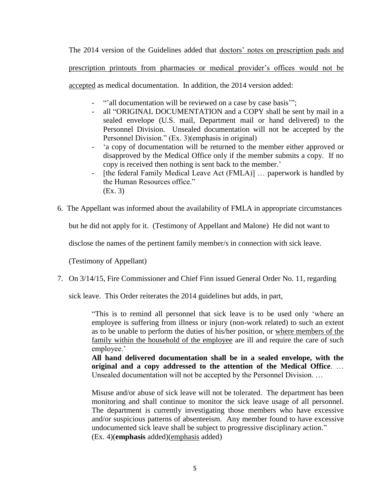The 2014 version of the Guidelines added that doctors' notes on prescription pads and

prescription printouts from pharmacies or medical provider's offices would not be

accepted as medical documentation. In addition, the 2014 version added:

- "'all documentation will be reviewed on a case by case basis"';
- all "ORIGINAL DOCUMENTATION and a COPY shall be sent by mail in a sealed envelope (U.S. mail, Department mail or hand delivered) to the Personnel Division. Unsealed documentation will not be accepted by the Personnel Division." (Ex. 3)(emphasis in original)
- 'a copy of documentation will be returned to the member either approved or disapproved by the Medical Office only if the member submits a copy. If no copy is received then nothing is sent back to the member.'
- [the federal Family Medical Leave Act (FMLA)] … paperwork is handled by the Human Resources office." (Ex. 3)
- 6. The Appellant was informed about the availability of FMLA in appropriate circumstances

but he did not apply for it. (Testimony of Appellant and Malone) He did not want to

disclose the names of the pertinent family member/s in connection with sick leave.

(Testimony of Appellant)

7. On 3/14/15, Fire Commissioner and Chief Finn issued General Order No. 11, regarding

sick leave. This Order reiterates the 2014 guidelines but adds, in part,

"This is to remind all personnel that sick leave is to be used only 'where an employee is suffering from illness or injury (non-work related) to such an extent as to be unable to perform the duties of his/her position, or where members of the family within the household of the employee are ill and require the care of such employee.'

**All hand delivered documentation shall be in a sealed envelope, with the original and a copy addressed to the attention of the Medical Office**. … Unsealed documentation will not be accepted by the Personnel Division. …

Misuse and/or abuse of sick leave will not be tolerated. The department has been monitoring and shall continue to monitor the sick leave usage of all personnel. The department is currently investigating those members who have excessive and/or suspicious patterns of absenteeism. Any member found to have excessive undocumented sick leave shall be subject to progressive disciplinary action." (Ex. 4)(**emphasis** added)(emphasis added)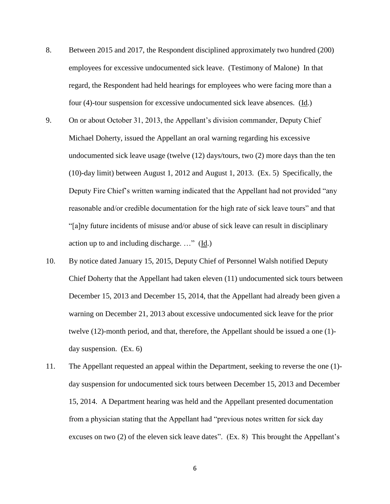- 8. Between 2015 and 2017, the Respondent disciplined approximately two hundred (200) employees for excessive undocumented sick leave. (Testimony of Malone) In that regard, the Respondent had held hearings for employees who were facing more than a four (4)-tour suspension for excessive undocumented sick leave absences. (Id.)
- 9. On or about October 31, 2013, the Appellant's division commander, Deputy Chief Michael Doherty, issued the Appellant an oral warning regarding his excessive undocumented sick leave usage (twelve (12) days/tours, two (2) more days than the ten (10)-day limit) between August 1, 2012 and August 1, 2013. (Ex. 5) Specifically, the Deputy Fire Chief's written warning indicated that the Appellant had not provided "any reasonable and/or credible documentation for the high rate of sick leave tours" and that "[a]ny future incidents of misuse and/or abuse of sick leave can result in disciplinary action up to and including discharge. …" (Id.)
- 10. By notice dated January 15, 2015, Deputy Chief of Personnel Walsh notified Deputy Chief Doherty that the Appellant had taken eleven (11) undocumented sick tours between December 15, 2013 and December 15, 2014, that the Appellant had already been given a warning on December 21, 2013 about excessive undocumented sick leave for the prior twelve (12)-month period, and that, therefore, the Appellant should be issued a one (1) day suspension. (Ex. 6)
- 11. The Appellant requested an appeal within the Department, seeking to reverse the one (1) day suspension for undocumented sick tours between December 15, 2013 and December 15, 2014. A Department hearing was held and the Appellant presented documentation from a physician stating that the Appellant had "previous notes written for sick day excuses on two (2) of the eleven sick leave dates". (Ex. 8) This brought the Appellant's

6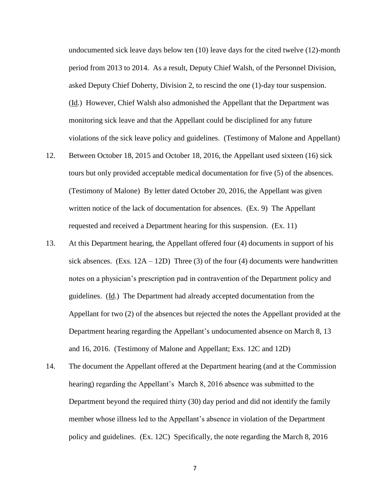undocumented sick leave days below ten (10) leave days for the cited twelve (12)-month period from 2013 to 2014. As a result, Deputy Chief Walsh, of the Personnel Division, asked Deputy Chief Doherty, Division 2, to rescind the one (1)-day tour suspension. (Id.) However, Chief Walsh also admonished the Appellant that the Department was monitoring sick leave and that the Appellant could be disciplined for any future violations of the sick leave policy and guidelines. (Testimony of Malone and Appellant)

- 12. Between October 18, 2015 and October 18, 2016, the Appellant used sixteen (16) sick tours but only provided acceptable medical documentation for five (5) of the absences. (Testimony of Malone) By letter dated October 20, 2016, the Appellant was given written notice of the lack of documentation for absences. (Ex. 9) The Appellant requested and received a Department hearing for this suspension. (Ex. 11)
- 13. At this Department hearing, the Appellant offered four (4) documents in support of his sick absences. (Exs.  $12A - 12D$ ) Three (3) of the four (4) documents were handwritten notes on a physician's prescription pad in contravention of the Department policy and guidelines. (Id.) The Department had already accepted documentation from the Appellant for two (2) of the absences but rejected the notes the Appellant provided at the Department hearing regarding the Appellant's undocumented absence on March 8, 13 and 16, 2016. (Testimony of Malone and Appellant; Exs. 12C and 12D)
- 14. The document the Appellant offered at the Department hearing (and at the Commission hearing) regarding the Appellant's March 8, 2016 absence was submitted to the Department beyond the required thirty (30) day period and did not identify the family member whose illness led to the Appellant's absence in violation of the Department policy and guidelines. (Ex. 12C) Specifically, the note regarding the March 8, 2016

7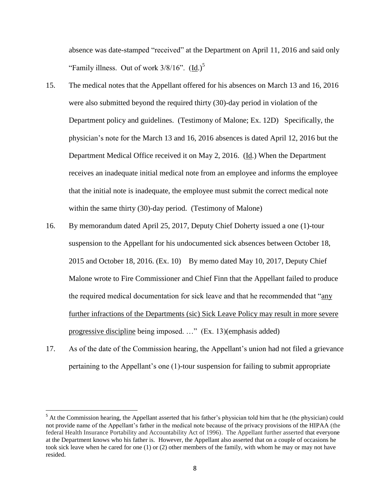absence was date-stamped "received" at the Department on April 11, 2016 and said only "Family illness. Out of work  $3/8/16$ ". (Id.)<sup>5</sup>

- 15. The medical notes that the Appellant offered for his absences on March 13 and 16, 2016 were also submitted beyond the required thirty (30)-day period in violation of the Department policy and guidelines. (Testimony of Malone; Ex. 12D) Specifically, the physician's note for the March 13 and 16, 2016 absences is dated April 12, 2016 but the Department Medical Office received it on May 2, 2016. (Id.) When the Department receives an inadequate initial medical note from an employee and informs the employee that the initial note is inadequate, the employee must submit the correct medical note within the same thirty (30)-day period. (Testimony of Malone)
- 16. By memorandum dated April 25, 2017, Deputy Chief Doherty issued a one (1)-tour suspension to the Appellant for his undocumented sick absences between October 18, 2015 and October 18, 2016. (Ex. 10) By memo dated May 10, 2017, Deputy Chief Malone wrote to Fire Commissioner and Chief Finn that the Appellant failed to produce the required medical documentation for sick leave and that he recommended that "any" further infractions of the Departments (sic) Sick Leave Policy may result in more severe progressive discipline being imposed. …" (Ex. 13)(emphasis added)
- 17. As of the date of the Commission hearing, the Appellant's union had not filed a grievance pertaining to the Appellant's one (1)-tour suspension for failing to submit appropriate

l

 $<sup>5</sup>$  At the Commission hearing, the Appellant asserted that his father's physician told him that he (the physician) could</sup> not provide name of the Appellant's father in the medical note because of the privacy provisions of the HIPAA (the federal Health Insurance Portability and Accountability Act of 1996). The Appellant further asserted that everyone at the Department knows who his father is. However, the Appellant also asserted that on a couple of occasions he took sick leave when he cared for one (1) or (2) other members of the family, with whom he may or may not have resided.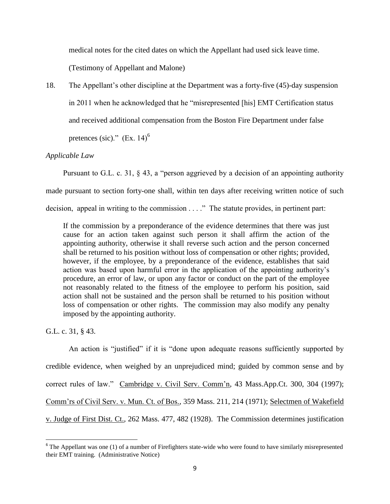medical notes for the cited dates on which the Appellant had used sick leave time.

(Testimony of Appellant and Malone)

18. The Appellant's other discipline at the Department was a forty-five (45)-day suspension in 2011 when he acknowledged that he "misrepresented [his] EMT Certification status and received additional compensation from the Boston Fire Department under false pretences (sic)."  $(Ex. 14)^6$ 

# *Applicable Law*

Pursuant to G.L. c. 31, § 43, a "person aggrieved by a decision of an appointing authority made pursuant to section forty-one shall, within ten days after receiving written notice of such decision, appeal in writing to the commission . . . ." The statute provides, in pertinent part:

If the commission by a preponderance of the evidence determines that there was just cause for an action taken against such person it shall affirm the action of the appointing authority, otherwise it shall reverse such action and the person concerned shall be returned to his position without loss of compensation or other rights; provided, however, if the employee, by a preponderance of the evidence, establishes that said action was based upon harmful error in the application of the appointing authority's procedure, an error of law, or upon any factor or conduct on the part of the employee not reasonably related to the fitness of the employee to perform his position, said action shall not be sustained and the person shall be returned to his position without loss of compensation or other rights. The commission may also modify any penalty imposed by the appointing authority.

G.L. c. 31, § 43.

An action is "justified" if it is "done upon adequate reasons sufficiently supported by credible evidence, when weighed by an unprejudiced mind; guided by common sense and by correct rules of law." Cambridge v. Civil Serv. Comm'n, 43 Mass.App.Ct. 300, 304 (1997); Comm'rs of Civil Serv. v. Mun. Ct. of Bos.*,* 359 Mass. 211, 214 (1971); Selectmen of Wakefield v. Judge of First Dist. Ct.*,* 262 Mass. 477, 482 (1928). The Commission determines justification

<sup>&</sup>lt;sup>6</sup> The Appellant was one (1) of a number of Firefighters state-wide who were found to have similarly misrepresented their EMT training. (Administrative Notice)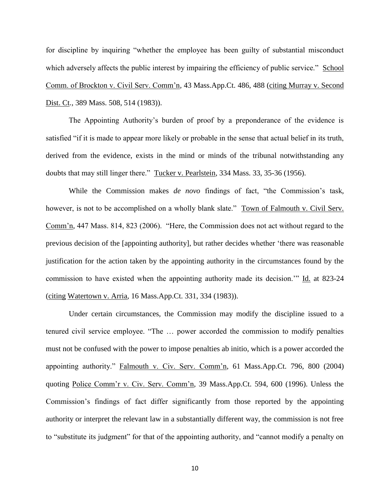for discipline by inquiring "whether the employee has been guilty of substantial misconduct which adversely affects the public interest by impairing the efficiency of public service." School Comm. of Brockton v. Civil Serv. Comm'n*,* 43 Mass.App.Ct. 486, 488 (citing Murray v. Second Dist. Ct*.,* 389 Mass. 508, 514 (1983)).

The Appointing Authority's burden of proof by a preponderance of the evidence is satisfied "if it is made to appear more likely or probable in the sense that actual belief in its truth, derived from the evidence, exists in the mind or minds of the tribunal notwithstanding any doubts that may still linger there." Tucker v. Pearlstein*,* 334 Mass. 33, 35-36 (1956).

While the Commission makes *de novo* findings of fact, "the Commission's task, however, is not to be accomplished on a wholly blank slate." Town of Falmouth v. Civil Serv. Comm'n*,* 447 Mass. 814, 823 (2006). "Here, the Commission does not act without regard to the previous decision of the [appointing authority], but rather decides whether 'there was reasonable justification for the action taken by the appointing authority in the circumstances found by the commission to have existed when the appointing authority made its decision.'" Id. at 823-24 (citing Watertown v. Arria, 16 Mass.App.Ct. 331, 334 (1983)).

Under certain circumstances, the Commission may modify the discipline issued to a tenured civil service employee. "The … power accorded the commission to modify penalties must not be confused with the power to impose penalties ab initio, which is a power accorded the appointing authority." Falmouth v. Civ. Serv. Comm'n, 61 Mass.App.Ct. 796, 800 (2004) quoting Police Comm'r v. Civ. Serv. Comm'n, 39 Mass.App.Ct. 594, 600 (1996). Unless the Commission's findings of fact differ significantly from those reported by the appointing authority or interpret the relevant law in a substantially different way, the commission is not free to "substitute its judgment" for that of the appointing authority, and "cannot modify a penalty on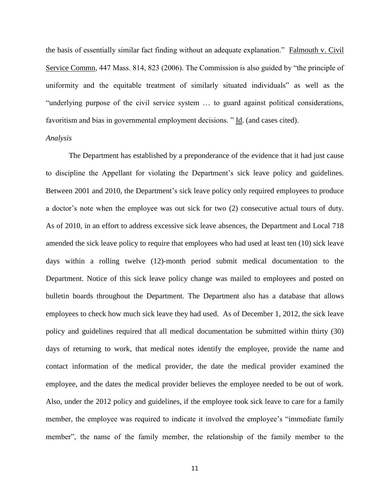the basis of essentially similar fact finding without an adequate explanation." Falmouth v. Civil Service Commn, 447 Mass. 814, 823 (2006). The Commission is also guided by "the principle of uniformity and the equitable treatment of similarly situated individuals" as well as the "underlying purpose of the civil service system … to guard against political considerations, favoritism and bias in governmental employment decisions. " Id. (and cases cited).

#### *Analysis*

The Department has established by a preponderance of the evidence that it had just cause to discipline the Appellant for violating the Department's sick leave policy and guidelines. Between 2001 and 2010, the Department's sick leave policy only required employees to produce a doctor's note when the employee was out sick for two (2) consecutive actual tours of duty. As of 2010, in an effort to address excessive sick leave absences, the Department and Local 718 amended the sick leave policy to require that employees who had used at least ten (10) sick leave days within a rolling twelve (12)-month period submit medical documentation to the Department. Notice of this sick leave policy change was mailed to employees and posted on bulletin boards throughout the Department. The Department also has a database that allows employees to check how much sick leave they had used. As of December 1, 2012, the sick leave policy and guidelines required that all medical documentation be submitted within thirty (30) days of returning to work, that medical notes identify the employee, provide the name and contact information of the medical provider, the date the medical provider examined the employee, and the dates the medical provider believes the employee needed to be out of work. Also, under the 2012 policy and guidelines, if the employee took sick leave to care for a family member, the employee was required to indicate it involved the employee's "immediate family member", the name of the family member, the relationship of the family member to the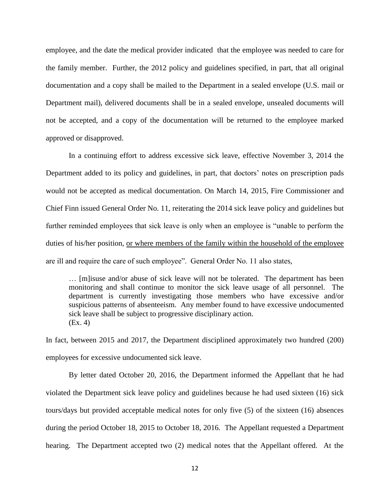employee, and the date the medical provider indicated that the employee was needed to care for the family member. Further, the 2012 policy and guidelines specified, in part, that all original documentation and a copy shall be mailed to the Department in a sealed envelope (U.S. mail or Department mail), delivered documents shall be in a sealed envelope, unsealed documents will not be accepted, and a copy of the documentation will be returned to the employee marked approved or disapproved.

In a continuing effort to address excessive sick leave, effective November 3, 2014 the Department added to its policy and guidelines, in part, that doctors' notes on prescription pads would not be accepted as medical documentation. On March 14, 2015, Fire Commissioner and Chief Finn issued General Order No. 11, reiterating the 2014 sick leave policy and guidelines but further reminded employees that sick leave is only when an employee is "unable to perform the duties of his/her position, or where members of the family within the household of the employee are ill and require the care of such employee". General Order No. 11 also states,

… [m]isuse and/or abuse of sick leave will not be tolerated. The department has been monitoring and shall continue to monitor the sick leave usage of all personnel. The department is currently investigating those members who have excessive and/or suspicious patterns of absenteeism. Any member found to have excessive undocumented sick leave shall be subject to progressive disciplinary action. (Ex. 4)

In fact, between 2015 and 2017, the Department disciplined approximately two hundred (200) employees for excessive undocumented sick leave.

By letter dated October 20, 2016, the Department informed the Appellant that he had violated the Department sick leave policy and guidelines because he had used sixteen (16) sick tours/days but provided acceptable medical notes for only five (5) of the sixteen (16) absences during the period October 18, 2015 to October 18, 2016. The Appellant requested a Department hearing. The Department accepted two (2) medical notes that the Appellant offered. At the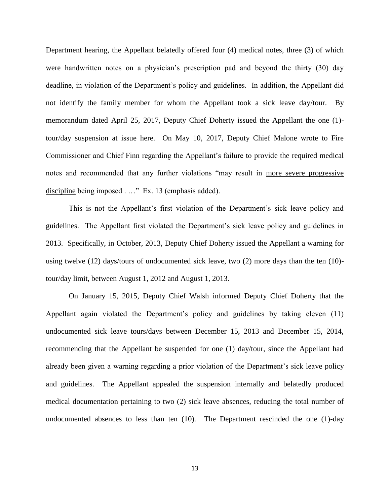Department hearing, the Appellant belatedly offered four (4) medical notes, three (3) of which were handwritten notes on a physician's prescription pad and beyond the thirty (30) day deadline, in violation of the Department's policy and guidelines. In addition, the Appellant did not identify the family member for whom the Appellant took a sick leave day/tour. By memorandum dated April 25, 2017, Deputy Chief Doherty issued the Appellant the one (1) tour/day suspension at issue here. On May 10, 2017, Deputy Chief Malone wrote to Fire Commissioner and Chief Finn regarding the Appellant's failure to provide the required medical notes and recommended that any further violations "may result in more severe progressive discipline being imposed . …" Ex. 13 (emphasis added).

This is not the Appellant's first violation of the Department's sick leave policy and guidelines. The Appellant first violated the Department's sick leave policy and guidelines in 2013. Specifically, in October, 2013, Deputy Chief Doherty issued the Appellant a warning for using twelve (12) days/tours of undocumented sick leave, two (2) more days than the ten (10) tour/day limit, between August 1, 2012 and August 1, 2013.

On January 15, 2015, Deputy Chief Walsh informed Deputy Chief Doherty that the Appellant again violated the Department's policy and guidelines by taking eleven (11) undocumented sick leave tours/days between December 15, 2013 and December 15, 2014, recommending that the Appellant be suspended for one (1) day/tour, since the Appellant had already been given a warning regarding a prior violation of the Department's sick leave policy and guidelines. The Appellant appealed the suspension internally and belatedly produced medical documentation pertaining to two (2) sick leave absences, reducing the total number of undocumented absences to less than ten (10). The Department rescinded the one (1)-day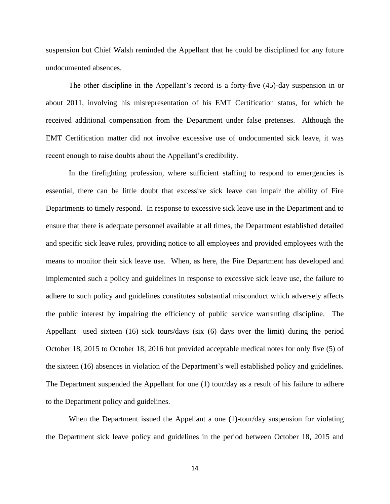suspension but Chief Walsh reminded the Appellant that he could be disciplined for any future undocumented absences.

The other discipline in the Appellant's record is a forty-five (45)-day suspension in or about 2011, involving his misrepresentation of his EMT Certification status, for which he received additional compensation from the Department under false pretenses. Although the EMT Certification matter did not involve excessive use of undocumented sick leave, it was recent enough to raise doubts about the Appellant's credibility.

In the firefighting profession, where sufficient staffing to respond to emergencies is essential, there can be little doubt that excessive sick leave can impair the ability of Fire Departments to timely respond. In response to excessive sick leave use in the Department and to ensure that there is adequate personnel available at all times, the Department established detailed and specific sick leave rules, providing notice to all employees and provided employees with the means to monitor their sick leave use. When, as here, the Fire Department has developed and implemented such a policy and guidelines in response to excessive sick leave use, the failure to adhere to such policy and guidelines constitutes substantial misconduct which adversely affects the public interest by impairing the efficiency of public service warranting discipline. The Appellant used sixteen (16) sick tours/days (six (6) days over the limit) during the period October 18, 2015 to October 18, 2016 but provided acceptable medical notes for only five (5) of the sixteen (16) absences in violation of the Department's well established policy and guidelines. The Department suspended the Appellant for one (1) tour/day as a result of his failure to adhere to the Department policy and guidelines.

When the Department issued the Appellant a one (1)-tour/day suspension for violating the Department sick leave policy and guidelines in the period between October 18, 2015 and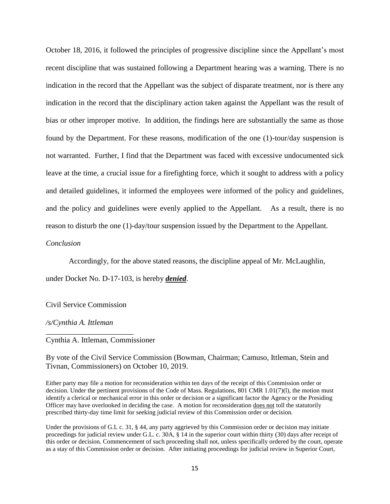October 18, 2016, it followed the principles of progressive discipline since the Appellant's most recent discipline that was sustained following a Department hearing was a warning. There is no indication in the record that the Appellant was the subject of disparate treatment, nor is there any indication in the record that the disciplinary action taken against the Appellant was the result of bias or other improper motive. In addition, the findings here are substantially the same as those found by the Department. For these reasons, modification of the one (1)-tour/day suspension is not warranted. Further, I find that the Department was faced with excessive undocumented sick leave at the time, a crucial issue for a firefighting force, which it sought to address with a policy and detailed guidelines, it informed the employees were informed of the policy and guidelines, and the policy and guidelines were evenly applied to the Appellant. As a result, there is no reason to disturb the one (1)-day/tour suspension issued by the Department to the Appellant.

### *Conclusion*

Accordingly, for the above stated reasons, the discipline appeal of Mr. McLaughlin,

under Docket No. D-17-103, is hereby *denied*.

Civil Service Commission

\_\_\_\_\_\_\_\_\_\_\_\_\_\_\_\_\_\_\_\_\_\_\_

*/s/Cynthia A. Ittleman*

Cynthia A. Ittleman, Commissioner

By vote of the Civil Service Commission (Bowman, Chairman; Camuso, Ittleman, Stein and Tivnan, Commissioners) on October 10, 2019.

Either party may file a motion for reconsideration within ten days of the receipt of this Commission order or decision. Under the pertinent provisions of the Code of Mass. Regulations, 801 CMR 1.01(7)(l), the motion must identify a clerical or mechanical error in this order or decision or a significant factor the Agency or the Presiding Officer may have overlooked in deciding the case. A motion for reconsideration does not toll the statutorily prescribed thirty-day time limit for seeking judicial review of this Commission order or decision.

Under the provisions of G.L c. 31, § 44, any party aggrieved by this Commission order or decision may initiate proceedings for judicial review under G.L. c. 30A, § 14 in the superior court within thirty (30) days after receipt of this order or decision. Commencement of such proceeding shall not, unless specifically ordered by the court, operate as a stay of this Commission order or decision. After initiating proceedings for judicial review in Superior Court,